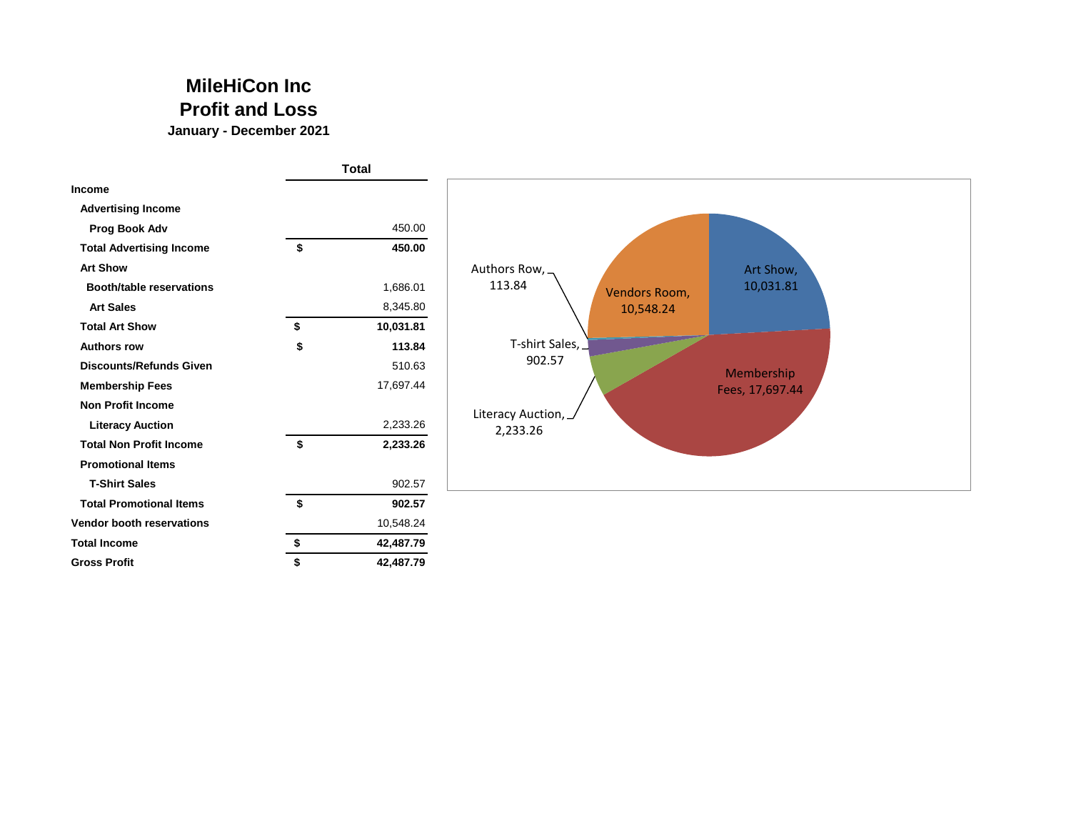## **MileHiCon Inc Profit and Loss**

**January - December 2021**

|                                 | <b>Total</b>    |                                      |
|---------------------------------|-----------------|--------------------------------------|
| Income                          |                 |                                      |
| <b>Advertising Income</b>       |                 |                                      |
| Prog Book Adv                   | 450.00          |                                      |
| <b>Total Advertising Income</b> | \$<br>450.00    |                                      |
| <b>Art Show</b>                 |                 | Authors Row,<br>Art Show,            |
| <b>Booth/table reservations</b> | 1,686.01        | 113.84<br>10,031.81<br>Vendors Room, |
| <b>Art Sales</b>                | 8,345.80        | 10,548.24                            |
| <b>Total Art Show</b>           | \$<br>10,031.81 |                                      |
| <b>Authors row</b>              | \$<br>113.84    | T-shirt Sales,                       |
| <b>Discounts/Refunds Given</b>  | 510.63          | 902.57<br>Membership                 |
| <b>Membership Fees</b>          | 17,697.44       | Fees, 17,697.44                      |
| <b>Non Profit Income</b>        |                 | Literacy Auction, _                  |
| <b>Literacy Auction</b>         | 2,233.26        | 2,233.26                             |
| <b>Total Non Profit Income</b>  | \$<br>2,233.26  |                                      |
| <b>Promotional Items</b>        |                 |                                      |
| <b>T-Shirt Sales</b>            | 902.57          |                                      |
| <b>Total Promotional Items</b>  | \$<br>902.57    |                                      |
| Vendor booth reservations       | 10,548.24       |                                      |
| <b>Total Income</b>             | \$<br>42,487.79 |                                      |
| <b>Gross Profit</b>             | 42,487.79       |                                      |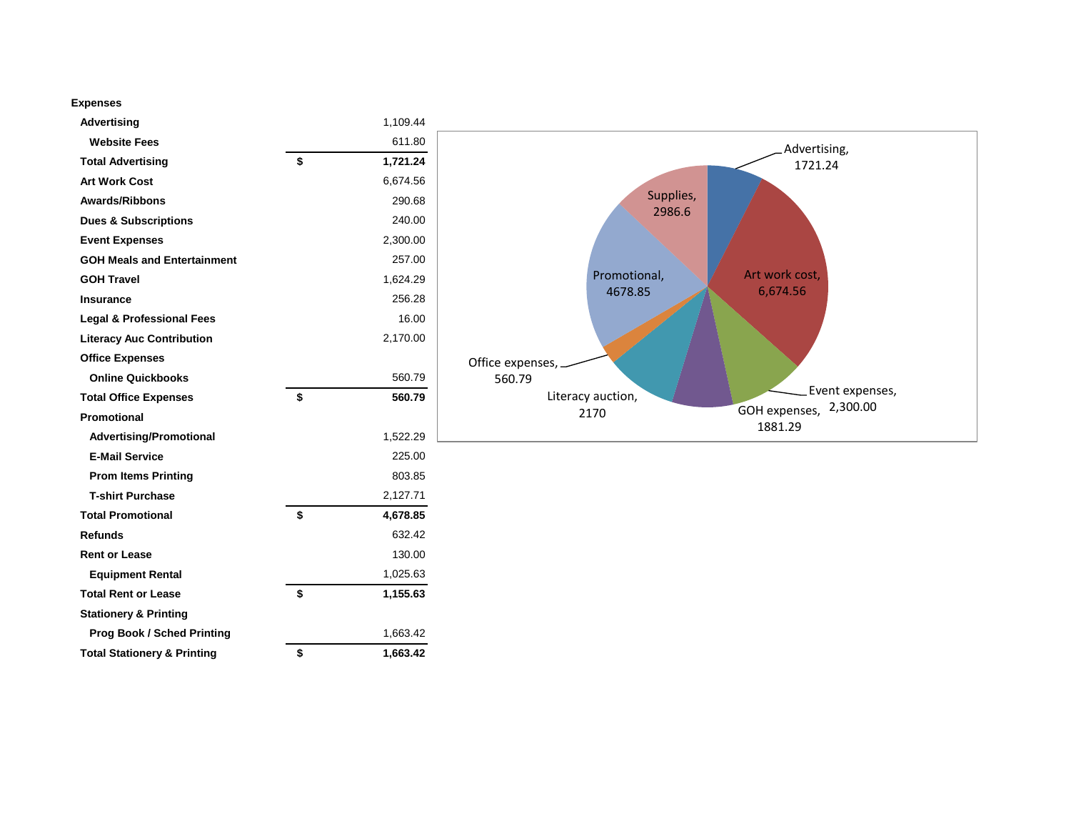## **Expenses**

| Advertising                            | 1,109.44       |                                                  |
|----------------------------------------|----------------|--------------------------------------------------|
| <b>Website Fees</b>                    | 611.80         | Advertising,                                     |
| <b>Total Advertising</b>               | \$<br>1,721.24 | 1721.24                                          |
| <b>Art Work Cost</b>                   | 6,674.56       |                                                  |
| <b>Awards/Ribbons</b>                  | 290.68         | Supplies,                                        |
| <b>Dues &amp; Subscriptions</b>        | 240.00         | 2986.6                                           |
| <b>Event Expenses</b>                  | 2,300.00       |                                                  |
| <b>GOH Meals and Entertainment</b>     | 257.00         |                                                  |
| <b>GOH Travel</b>                      | 1,624.29       | Art work cost,<br>Promotional,                   |
| Insurance                              | 256.28         | 6,674.56<br>4678.85                              |
| <b>Legal &amp; Professional Fees</b>   | 16.00          |                                                  |
| <b>Literacy Auc Contribution</b>       | 2,170.00       |                                                  |
| <b>Office Expenses</b>                 |                | Office expenses,                                 |
| <b>Online Quickbooks</b>               | 560.79         | 560.79                                           |
| <b>Total Office Expenses</b>           | \$<br>560.79   | Event expenses,<br>Literacy auction,<br>2,300.00 |
| Promotional                            |                | GOH expenses,<br>2170<br>1881.29                 |
| <b>Advertising/Promotional</b>         | 1,522.29       |                                                  |
| <b>E-Mail Service</b>                  | 225.00         |                                                  |
| <b>Prom Items Printing</b>             | 803.85         |                                                  |
| <b>T-shirt Purchase</b>                | 2,127.71       |                                                  |
| <b>Total Promotional</b>               | \$<br>4,678.85 |                                                  |
| <b>Refunds</b>                         | 632.42         |                                                  |
| <b>Rent or Lease</b>                   | 130.00         |                                                  |
| <b>Equipment Rental</b>                | 1,025.63       |                                                  |
| <b>Total Rent or Lease</b>             | \$<br>1,155.63 |                                                  |
| <b>Stationery &amp; Printing</b>       |                |                                                  |
| <b>Prog Book / Sched Printing</b>      | 1,663.42       |                                                  |
| <b>Total Stationery &amp; Printing</b> | \$<br>1,663.42 |                                                  |